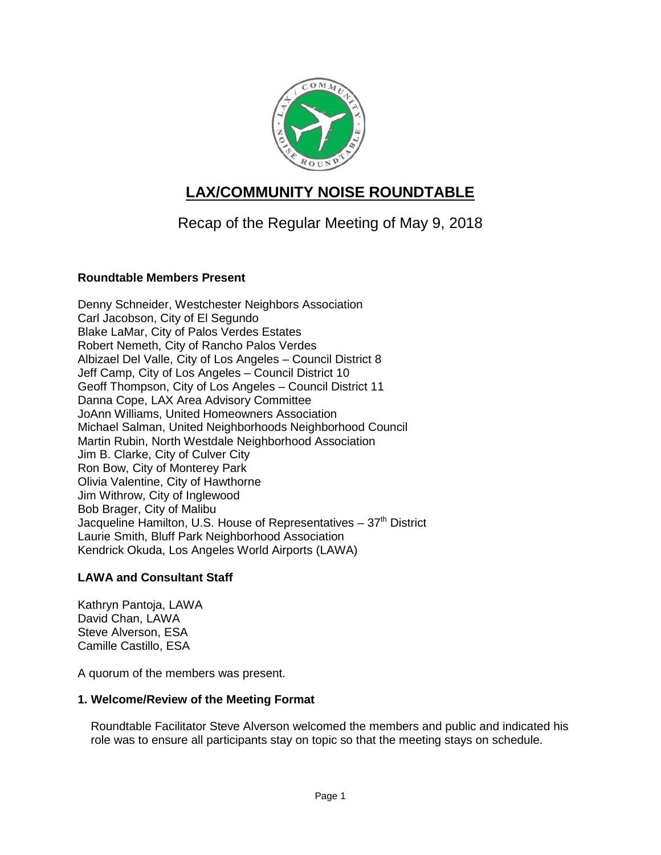

# **LAX/COMMUNITY NOISE ROUNDTABLE**

# Recap of the Regular Meeting of May 9, 2018

## **Roundtable Members Present**

Denny Schneider, Westchester Neighbors Association Carl Jacobson, City of El Segundo Blake LaMar, City of Palos Verdes Estates Robert Nemeth, City of Rancho Palos Verdes Albizael Del Valle, City of Los Angeles – Council District 8 Jeff Camp, City of Los Angeles – Council District 10 Geoff Thompson, City of Los Angeles – Council District 11 Danna Cope, LAX Area Advisory Committee JoAnn Williams, United Homeowners Association Michael Salman, United Neighborhoods Neighborhood Council Martin Rubin, North Westdale Neighborhood Association Jim B. Clarke, City of Culver City Ron Bow, City of Monterey Park Olivia Valentine, City of Hawthorne Jim Withrow, City of Inglewood Bob Brager, City of Malibu Jacqueline Hamilton, U.S. House of Representatives  $-37<sup>th</sup>$  District Laurie Smith, Bluff Park Neighborhood Association Kendrick Okuda, Los Angeles World Airports (LAWA)

## **LAWA and Consultant Staff**

Kathryn Pantoja, LAWA David Chan, LAWA Steve Alverson, ESA Camille Castillo, ESA

A quorum of the members was present.

## **1. Welcome/Review of the Meeting Format**

Roundtable Facilitator Steve Alverson welcomed the members and public and indicated his role was to ensure all participants stay on topic so that the meeting stays on schedule.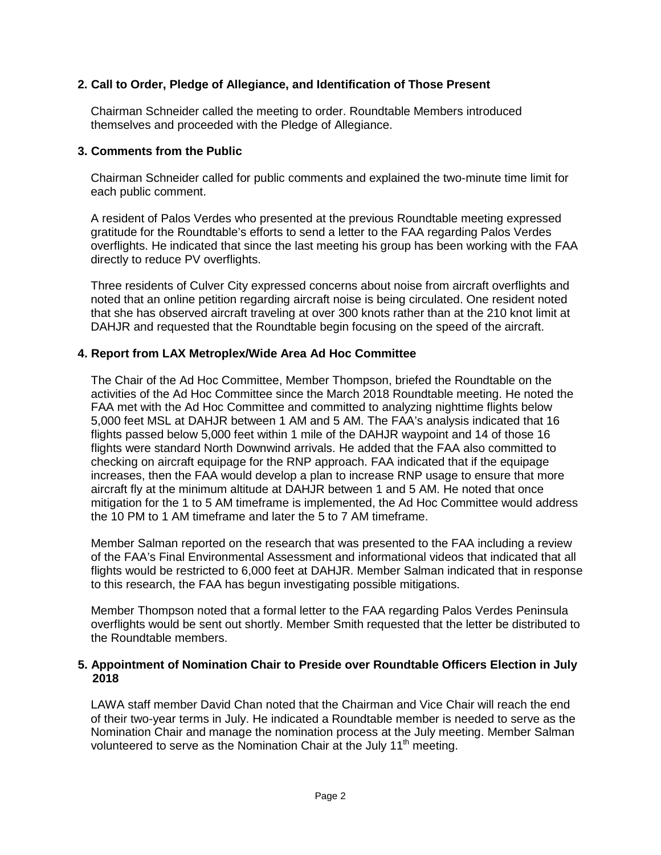## **2. Call to Order, Pledge of Allegiance, and Identification of Those Present**

Chairman Schneider called the meeting to order. Roundtable Members introduced themselves and proceeded with the Pledge of Allegiance.

#### **3. Comments from the Public**

Chairman Schneider called for public comments and explained the two-minute time limit for each public comment.

A resident of Palos Verdes who presented at the previous Roundtable meeting expressed gratitude for the Roundtable's efforts to send a letter to the FAA regarding Palos Verdes overflights. He indicated that since the last meeting his group has been working with the FAA directly to reduce PV overflights.

Three residents of Culver City expressed concerns about noise from aircraft overflights and noted that an online petition regarding aircraft noise is being circulated. One resident noted that she has observed aircraft traveling at over 300 knots rather than at the 210 knot limit at DAHJR and requested that the Roundtable begin focusing on the speed of the aircraft.

## **4. Report from LAX Metroplex/Wide Area Ad Hoc Committee**

The Chair of the Ad Hoc Committee, Member Thompson, briefed the Roundtable on the activities of the Ad Hoc Committee since the March 2018 Roundtable meeting. He noted the FAA met with the Ad Hoc Committee and committed to analyzing nighttime flights below 5,000 feet MSL at DAHJR between 1 AM and 5 AM. The FAA's analysis indicated that 16 flights passed below 5,000 feet within 1 mile of the DAHJR waypoint and 14 of those 16 flights were standard North Downwind arrivals. He added that the FAA also committed to checking on aircraft equipage for the RNP approach. FAA indicated that if the equipage increases, then the FAA would develop a plan to increase RNP usage to ensure that more aircraft fly at the minimum altitude at DAHJR between 1 and 5 AM. He noted that once mitigation for the 1 to 5 AM timeframe is implemented, the Ad Hoc Committee would address the 10 PM to 1 AM timeframe and later the 5 to 7 AM timeframe.

Member Salman reported on the research that was presented to the FAA including a review of the FAA's Final Environmental Assessment and informational videos that indicated that all flights would be restricted to 6,000 feet at DAHJR. Member Salman indicated that in response to this research, the FAA has begun investigating possible mitigations.

Member Thompson noted that a formal letter to the FAA regarding Palos Verdes Peninsula overflights would be sent out shortly. Member Smith requested that the letter be distributed to the Roundtable members.

#### **5. Appointment of Nomination Chair to Preside over Roundtable Officers Election in July 2018**

LAWA staff member David Chan noted that the Chairman and Vice Chair will reach the end of their two-year terms in July. He indicated a Roundtable member is needed to serve as the Nomination Chair and manage the nomination process at the July meeting. Member Salman volunteered to serve as the Nomination Chair at the July 11<sup>th</sup> meeting.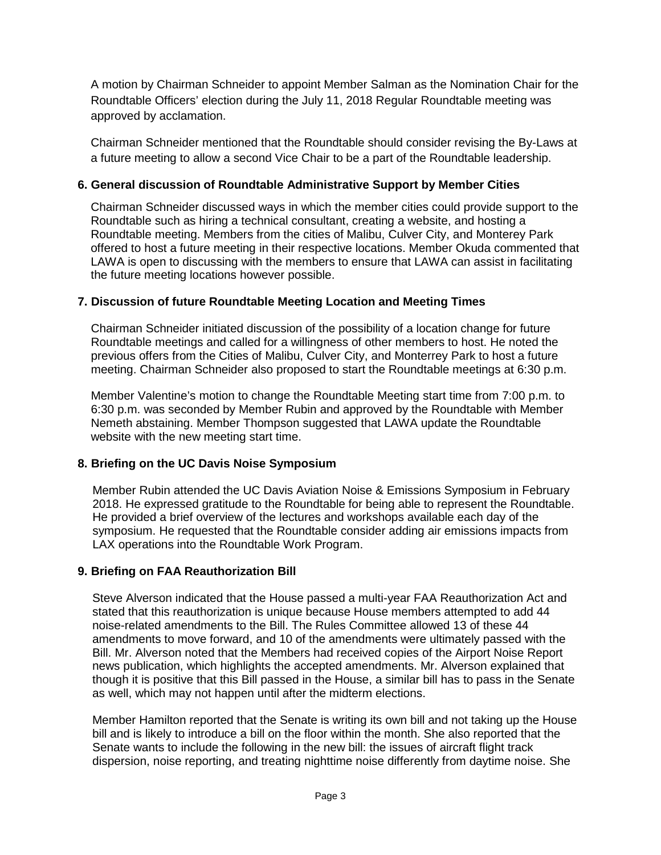A motion by Chairman Schneider to appoint Member Salman as the Nomination Chair for the Roundtable Officers' election during the July 11, 2018 Regular Roundtable meeting was approved by acclamation.

Chairman Schneider mentioned that the Roundtable should consider revising the By-Laws at a future meeting to allow a second Vice Chair to be a part of the Roundtable leadership.

# **6. General discussion of Roundtable Administrative Support by Member Cities**

Chairman Schneider discussed ways in which the member cities could provide support to the Roundtable such as hiring a technical consultant, creating a website, and hosting a Roundtable meeting. Members from the cities of Malibu, Culver City, and Monterey Park offered to host a future meeting in their respective locations. Member Okuda commented that LAWA is open to discussing with the members to ensure that LAWA can assist in facilitating the future meeting locations however possible.

## **7. Discussion of future Roundtable Meeting Location and Meeting Times**

Chairman Schneider initiated discussion of the possibility of a location change for future Roundtable meetings and called for a willingness of other members to host. He noted the previous offers from the Cities of Malibu, Culver City, and Monterrey Park to host a future meeting. Chairman Schneider also proposed to start the Roundtable meetings at 6:30 p.m.

Member Valentine's motion to change the Roundtable Meeting start time from 7:00 p.m. to 6:30 p.m. was seconded by Member Rubin and approved by the Roundtable with Member Nemeth abstaining. Member Thompson suggested that LAWA update the Roundtable website with the new meeting start time.

## **8. Briefing on the UC Davis Noise Symposium**

Member Rubin attended the UC Davis Aviation Noise & Emissions Symposium in February 2018. He expressed gratitude to the Roundtable for being able to represent the Roundtable. He provided a brief overview of the lectures and workshops available each day of the symposium. He requested that the Roundtable consider adding air emissions impacts from LAX operations into the Roundtable Work Program.

## **9. Briefing on FAA Reauthorization Bill**

Steve Alverson indicated that the House passed a multi-year FAA Reauthorization Act and stated that this reauthorization is unique because House members attempted to add 44 noise-related amendments to the Bill. The Rules Committee allowed 13 of these 44 amendments to move forward, and 10 of the amendments were ultimately passed with the Bill. Mr. Alverson noted that the Members had received copies of the Airport Noise Report news publication, which highlights the accepted amendments. Mr. Alverson explained that though it is positive that this Bill passed in the House, a similar bill has to pass in the Senate as well, which may not happen until after the midterm elections.

Member Hamilton reported that the Senate is writing its own bill and not taking up the House bill and is likely to introduce a bill on the floor within the month. She also reported that the Senate wants to include the following in the new bill: the issues of aircraft flight track dispersion, noise reporting, and treating nighttime noise differently from daytime noise. She